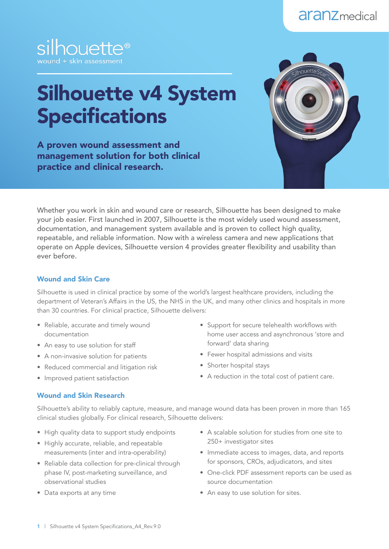## silhouette<sup>®</sup> wound + skin assessment

# Silhouette v4 System **Specifications**

A proven wound assessment and management solution for both clinical practice and clinical research.



Whether you work in skin and wound care or research, Silhouette has been designed to make your job easier. First launched in 2007, Silhouette is the most widely used wound assessment, documentation, and management system available and is proven to collect high quality, repeatable, and reliable information. Now with a wireless camera and new applications that operate on Apple devices, Silhouette version 4 provides greater flexibility and usability than ever before.

### Wound and Skin Care

Silhouette is used in clinical practice by some of the world's largest healthcare providers, including the department of Veteran's Affairs in the US, the NHS in the UK, and many other clinics and hospitals in more than 30 countries. For clinical practice, Silhouette delivers:

- Reliable, accurate and timely wound documentation
- An easy to use solution for staff
- A non-invasive solution for patients
- Reduced commercial and litigation risk
- Improved patient satisfaction
- Support for secure telehealth workflows with home user access and asynchronous 'store and forward' data sharing
- Fewer hospital admissions and visits
- Shorter hospital stays
- A reduction in the total cost of patient care.

#### Wound and Skin Research

Silhouette's ability to reliably capture, measure, and manage wound data has been proven in more than 165 clinical studies globally. For clinical research, Silhouette delivers:

- High quality data to support study endpoints
- Highly accurate, reliable, and repeatable measurements (inter and intra-operability)
- Reliable data collection for pre-clinical through phase IV, post-marketing surveillance, and observational studies
- Data exports at any time
- A scalable solution for studies from one site to 250+ investigator sites
- Immediate access to images, data, and reports for sponsors, CROs, adjudicators, and sites
- One-click PDF assessment reports can be used as source documentation
- An easy to use solution for sites.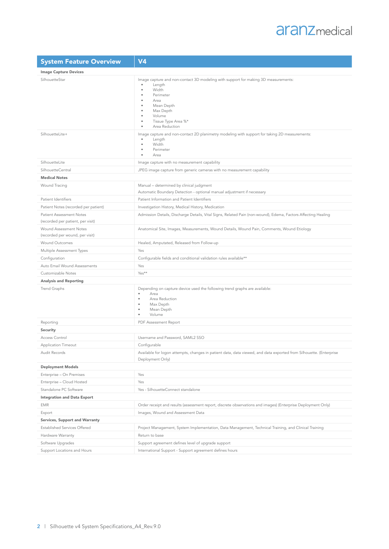| <b>System Feature Overview</b>                              | V <sub>4</sub>                                                                                                                                                                                                                                            |
|-------------------------------------------------------------|-----------------------------------------------------------------------------------------------------------------------------------------------------------------------------------------------------------------------------------------------------------|
| <b>Image Capture Devices</b>                                |                                                                                                                                                                                                                                                           |
| SilhouetteStar                                              | Image capture and non-contact 3D modeling with support for making 3D measurements:<br>Length<br>$\bullet$<br>Width<br>Perimeter<br>Area<br>٠<br>Mean Depth<br>Max Depth<br>Volume<br>٠<br>Tissue Type Area %*<br>$\bullet$<br>Area Reduction<br>$\bullet$ |
| SilhouetteLite+                                             | Image capture and non-contact 2D planimetry modeling with support for taking 2D measurements:<br>Length<br>٠<br>Width<br>$\bullet$<br>Perimeter<br>Area<br>٠                                                                                              |
| SilhouetteLite                                              | Image capture with no measurement capability                                                                                                                                                                                                              |
| SilhouetteCentral                                           | JPEG image capture from generic cameras with no measurement capability                                                                                                                                                                                    |
| <b>Medical Notes</b>                                        |                                                                                                                                                                                                                                                           |
| Wound Tracing                                               | Manual - determined by clinical judgment                                                                                                                                                                                                                  |
|                                                             | Automatic Boundary Detection - optional manual adjustment if necessary                                                                                                                                                                                    |
| Patient Identifiers                                         | Patient Information and Patient Identifiers                                                                                                                                                                                                               |
| Patient Notes (recorded per patient)                        | Investigation History, Medical History, Medication                                                                                                                                                                                                        |
| <b>Patient Assessment Notes</b>                             | Admission Details, Discharge Details, Vital Signs, Related Pain (non-wound), Edema, Factors Affecting Healing                                                                                                                                             |
| (recorded per patient, per visit)<br>Wound Assessment Notes | Anatomical Site, Images, Measurements, Wound Details, Wound Pain, Comments, Wound Etiology                                                                                                                                                                |
| (recorded per wound, per visit)                             |                                                                                                                                                                                                                                                           |
| Wound Outcomes                                              | Healed, Amputated, Released from Follow-up                                                                                                                                                                                                                |
| Multiple Assessment Types                                   | Yes                                                                                                                                                                                                                                                       |
| Configuration                                               | Configurable fields and conditional validation rules available**                                                                                                                                                                                          |
| Auto Email Wound Assessments                                | Yes                                                                                                                                                                                                                                                       |
| Customizable Notes                                          | Yes**                                                                                                                                                                                                                                                     |
| <b>Analysis and Reporting</b>                               |                                                                                                                                                                                                                                                           |
| Trend Graphs                                                | Depending on capture device used the following trend graphs are available:<br>Area<br>Area Reduction<br>Max Depth<br>Mean Depth<br>Volume                                                                                                                 |
| Reporting                                                   | PDF Assessment Report                                                                                                                                                                                                                                     |
| Security                                                    |                                                                                                                                                                                                                                                           |
| Access Control                                              | Username and Password, SAML2 SSO                                                                                                                                                                                                                          |
| <b>Application Timeout</b>                                  | Configurable                                                                                                                                                                                                                                              |
| Audit Records                                               | Available for logon attempts, changes in patient data, data viewed, and data exported from Silhouette. (Enterprise<br>Deployment Only)                                                                                                                    |
| <b>Deployment Models</b>                                    |                                                                                                                                                                                                                                                           |
| Enterprise - On Premises                                    | Yes                                                                                                                                                                                                                                                       |
| Enterprise - Cloud Hosted                                   | Yes                                                                                                                                                                                                                                                       |
| Standalone PC Software                                      | Yes - SilhouetteConnect standalone                                                                                                                                                                                                                        |
| <b>Integration and Data Export</b>                          |                                                                                                                                                                                                                                                           |
| <b>EMR</b>                                                  | Order receipt and results (assessment report, discrete observations and images) (Enterprise Deployment Only)                                                                                                                                              |
| Export                                                      | Images, Wound and Assessment Data                                                                                                                                                                                                                         |
| Services, Support and Warranty                              |                                                                                                                                                                                                                                                           |
| Established Services Offered                                | Project Management, System Implementation, Data Management, Technical Training, and Clinical Training                                                                                                                                                     |
| Hardware Warranty                                           | Return to base                                                                                                                                                                                                                                            |
| Software Upgrades                                           | Support agreement defines level of upgrade support                                                                                                                                                                                                        |
| Support Locations and Hours                                 | International Support - Support agreement defines hours                                                                                                                                                                                                   |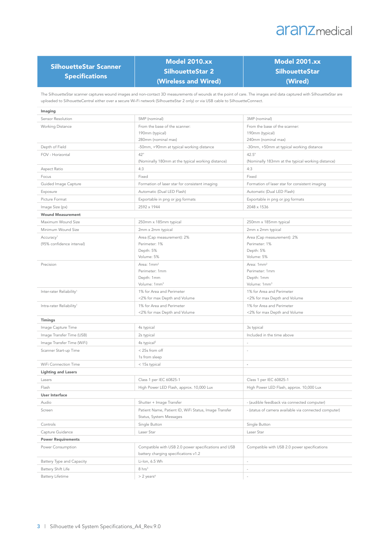|                                                        | <b>Model 2010.xx</b>    | <b>Model 2001.xx</b>  |
|--------------------------------------------------------|-------------------------|-----------------------|
| <b>SilhouetteStar Scanner</b><br><b>Specifications</b> | <b>SilhouetteStar 2</b> | <b>SilhouetteStar</b> |
|                                                        | (Wireless and Wired)    | (Wired)               |

The SilhouetteStar scanner captures wound images and non-contact 3D measurements of wounds at the point of care. The images and data captured with SilhouetteStar are uploaded to SilhouetteCentral either over a secure Wi-Fi network (SilhouetteStar 2 only) or via USB cable to SilhouetteConnect.

| Imaging                              |                                                                                              |                                                       |
|--------------------------------------|----------------------------------------------------------------------------------------------|-------------------------------------------------------|
| Sensor Resolution                    | 5MP (nominal)                                                                                | 3MP (nominal)                                         |
| Working Distance                     | From the base of the scanner:                                                                | From the base of the scanner:                         |
|                                      | 190mm (typical)                                                                              | 190mm (typical)                                       |
|                                      | 280mm (nominal max)                                                                          | 240mm (nominal max)                                   |
| Depth of Field                       | -50mm, +90mm at typical working distance                                                     | -30mm, +50mm at typical working distance              |
| FOV - Horizontal                     | $42^{\circ}$                                                                                 | $42.5^\circ$                                          |
|                                      | (Nominally 180mm at the typical working distance)                                            | (Nominally 183mm at the typical working distance)     |
| Aspect Ratio                         | 4:3                                                                                          | 4:3                                                   |
| Focus                                | Fixed                                                                                        | Fixed                                                 |
| Guided Image Capture                 | Formation of laser star for consistent imaging                                               | Formation of laser star for consistent imaging        |
| Exposure                             | Automatic (Dual LED Flash)                                                                   | Automatic (Dual LED Flash)                            |
| Picture Format                       | Exportable in png or jpg formats                                                             | Exportable in png or jpg formats                      |
| Image Size (px)                      | 2592 x 1944                                                                                  | 2048 x 1536                                           |
| <b>Wound Measurement</b>             |                                                                                              |                                                       |
| Maximum Wound Size                   | 250mm x 185mm typical                                                                        | 250mm x 185mm typical                                 |
| Minimum Wound Size                   | 2mm x 2mm typical                                                                            | 2mm x 2mm typical                                     |
| Accuracy <sup>1</sup>                | Area (Cap measurement): 2%                                                                   | Area (Cap measurement): 2%                            |
| (95% confidence interval)            | Perimeter: 1%                                                                                | Perimeter: 1%                                         |
|                                      | Depth: 5%                                                                                    | Depth: 5%                                             |
|                                      | Volume: 5%                                                                                   | Volume: 5%                                            |
| Precision                            | Area: 1mm <sup>2</sup>                                                                       | Area: 1mm <sup>2</sup>                                |
|                                      | Perimeter: 1mm                                                                               | Perimeter: 1mm                                        |
|                                      | Depth: 1mm                                                                                   | Depth: 1mm                                            |
|                                      | Volume: 1mm <sup>3</sup>                                                                     | Volume: 1mm <sup>3</sup>                              |
| Inter-rater Reliability <sup>1</sup> | 1% for Area and Perimeter                                                                    | 1% for Area and Perimeter                             |
|                                      | <2% for max Depth and Volume                                                                 | <2% for max Depth and Volume                          |
| Intra-rater Reliability <sup>1</sup> | 1% for Area and Perimeter                                                                    | 1% for Area and Perimeter                             |
|                                      | <2% for max Depth and Volume                                                                 | <2% for max Depth and Volume                          |
| <b>Timings</b>                       |                                                                                              |                                                       |
| Image Capture Time                   | 4s typical                                                                                   | 3s typical                                            |
| Image Transfer Time (USB)            | 2s typical                                                                                   | Included in the time above                            |
| Image Transfer Time (WiFi)           | 4s typical <sup>2</sup>                                                                      |                                                       |
| Scanner Start-up Time                | < 25s from off                                                                               | ÷,                                                    |
|                                      | 1s from sleep                                                                                |                                                       |
| WiFi Connection Time                 | < 15s typical                                                                                | $\overline{\phantom{a}}$                              |
| <b>Lighting and Lasers</b>           |                                                                                              |                                                       |
| Lasers                               | Class 1 per IEC 60825-1                                                                      | Class 1 per IEC 60825-1                               |
| Flash                                | High Power LED Flash, approx. 10,000 Lux                                                     | High Power LED Flash, approx. 10,000 Lux              |
| <b>User Interface</b>                |                                                                                              |                                                       |
| Audio                                | Shutter + Image Transfer                                                                     | (audible feedback via connected computer)             |
| Screen                               | Patient Name, Patient ID, WiFi Status, Image Transfer<br>Status, System Messages             | - (status of camera available via connected computer) |
| Controls                             | Single Button                                                                                | Single Button                                         |
| Capture Guidance                     | Laser Star                                                                                   | Laser Star                                            |
| <b>Power Requirements</b>            |                                                                                              |                                                       |
| Power Consumption                    | Compatible with USB 2.0 power specifications and USB<br>battery charging specifications v1.2 | Compatible with USB 2.0 power specifications          |
| Battery Type and Capacity            | Li-Ion, 6.5 Wh                                                                               | i,                                                    |
|                                      | $8 \text{ hrs}^3$                                                                            | $\overline{\phantom{a}}$                              |
| Battery Lifetime                     | $> 2$ years <sup>4</sup>                                                                     |                                                       |
| Battery Shift Life                   |                                                                                              |                                                       |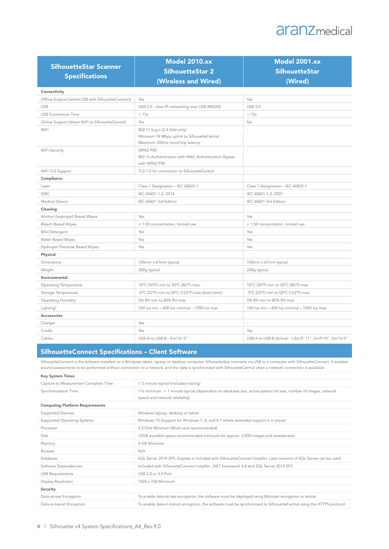| <b>SilhouetteStar Scanner</b><br><b>Specifications</b> | <b>Model 2010.xx</b><br><b>SilhouetteStar 2</b><br>(Wireless and Wired)                                        | <b>Model 2001.xx</b><br><b>SilhouetteStar</b><br>(Wired)  |
|--------------------------------------------------------|----------------------------------------------------------------------------------------------------------------|-----------------------------------------------------------|
| Connectivity                                           |                                                                                                                |                                                           |
| Offline Support (wired USB with SilhouetteConnect)     | Yes                                                                                                            | Yes                                                       |
| <b>USB</b>                                             | USB 2.0 - Uses IP networking over USB (RNDIS)                                                                  | <b>USB 2.0</b>                                            |
| <b>USB Connection Time</b>                             | < 15s                                                                                                          | < 15s                                                     |
| Online Support (direct WiFi to SilhouetteCentral)      | Yes                                                                                                            | No                                                        |
| WiFi                                                   | 802.11 b,g,n (2.4 GHz only)<br>Minimum 14 Mbps uplink to SilhouetteCentral<br>Maximum 300ms round trip latency |                                                           |
| WiFi Security                                          | WPA2 PSK<br>802.1x Authentication with MAC Authentication Bypass<br>with WPA2 PSK                              |                                                           |
| WiFi TLS Support                                       | TLS 1.0 for connection to SilhouetteCentral                                                                    | $\overline{a}$                                            |
| Compliance                                             |                                                                                                                |                                                           |
| Laser                                                  | Class 1 Designation - IEC 60825-1                                                                              | Class 1 Designation - IEC 60825-1                         |
| <b>EMC</b>                                             | IEC 60601-1-2: 2014                                                                                            | IEC 60601-1-2: 2007                                       |
| Medical Device                                         | IEC 60601 3rd Edition                                                                                          | IEC 60601 3rd Edition                                     |
| Cleaning                                               |                                                                                                                |                                                           |
| Alcohol (Isopropyl) Based Wipes                        | Yes                                                                                                            | Yes                                                       |
| <b>Bleach Based Wipes</b>                              | < 1:50 concentration, limited use                                                                              | < 1:50 concentration, limited use                         |
| Mild Detergent                                         | Yes                                                                                                            | Yes                                                       |
| Water Based Wipes                                      | Yes                                                                                                            | Yes                                                       |
| Hydrogen Peroxide Based Wipes                          | Yes                                                                                                            | Yes                                                       |
| Physical                                               |                                                                                                                |                                                           |
| Dimensions                                             | 100mm x 67mm typical                                                                                           | 100mm x 67mm typical                                      |
| Weight                                                 | 300g typical                                                                                                   | 240g typical                                              |
| Environmental                                          |                                                                                                                |                                                           |
| Operating Temperature                                  | 10°C (50°F) min to 30°C (86°F) max                                                                             | 10°C (50°F) min to 30°C (86°F) max                        |
| Storage Temperature                                    | -5°C (23°F) min to 50°C (122°F) max (short term)                                                               | -5°C (23°F) min to 50°C (122°F) max                       |
| Operating Humidity                                     | 0% RH min to 80% RH max                                                                                        | 0% RH min to 80% RH max                                   |
| Lighting <sup>5</sup>                                  | 100 lux min - 400 lux nominal - 1000 lux max                                                                   | 100 lux min - 400 lux nominal - 1000 lux max              |
| Accessories                                            |                                                                                                                |                                                           |
| Charger                                                | Yes                                                                                                            | $\overline{a}$                                            |
| Cradle                                                 | Yes                                                                                                            | Yes                                                       |
| Cables                                                 | USB-A to USB-B - 5m/16' 5"                                                                                     | USB-A to USB-B (Active) - 1.8m/5' 11", 3m/9'10", 5m/16'5" |

#### SilhouetteConnect Specifications – Client Software

SilhouetteConnect is the software installed on a Windows tablet, laptop or desktop computer. SilhouetteStar connects via USB to a computer with SilhouetteConnect. It enables wound assessments to be performed without connection to a network, and the data is synchronized with SilhouetteCentral when a network connection is available.

| <b>Key System Times</b>                |                                                                                                                       |
|----------------------------------------|-----------------------------------------------------------------------------------------------------------------------|
| Capture to Measurement Complete Time   | < 2 minute typical (includes tracing)                                                                                 |
| Synchronization Time                   | 17s minimum. < 1 minute typical (dependent on database size, active patient list size, number of images, network      |
|                                        | speed and network reliability)                                                                                        |
| <b>Computing Platform Requirements</b> |                                                                                                                       |
| <b>Supported Devices</b>               | Windows laptop, desktop or tablet                                                                                     |
| <b>Supported Operating Systems</b>     | Windows 10 (Support for Windows 7, 8, and 8.1 where extended support is in place)                                     |
| Processor                              | 2.0 GHz Minimum (Multi-core recommended)                                                                              |
| <b>Disk</b>                            | 10GB available space recommended minimum for approx. 2,000 images and assessments                                     |
| Memory                                 | 4 GB Minimum                                                                                                          |
| <b>Browser</b>                         | N/A                                                                                                                   |
| <b>Database</b>                        | SQL Server 2014 SP3, Express is included with SilhouetteConnect Installer. Later versions of SQL Server can be used.  |
| Software Dependencies                  | Included with SilhouetteConnect Installer: .NET framework 4.8 and SQL Server 2014 SP3                                 |
| <b>USB Requirements</b>                | USB 2.0 or 3.0 Port                                                                                                   |
| Display Resolution                     | 1024 x 768 Minimum                                                                                                    |
| Security                               |                                                                                                                       |
| Data-at-rest Encryption                | To enable data-at-rest encryption, the software must be deployed using Bitlocker encryption or similar                |
| Data-in-transit Encryption             | To enable data-in-transit encryption, the software must be synchronized to SilhouetteCentral using the HTTPS protocol |
|                                        |                                                                                                                       |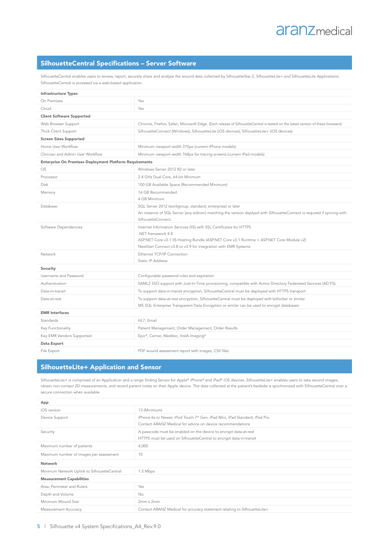#### SilhouetteCentral Specifications – Server Software

SilhouetteCentral enables users to review, report, securely share and analyze the wound data collected by SilhouetteStar 2, SilhouetteLite+ and SilhouetteLite Applications. SilhouetteCentral is accessed via a web-based application.

| <b>Infrastructure Types</b>                             |                                                                                                                                |
|---------------------------------------------------------|--------------------------------------------------------------------------------------------------------------------------------|
| On Premises                                             | Yes                                                                                                                            |
| Cloud                                                   | Yes                                                                                                                            |
| <b>Client Software Supported</b>                        |                                                                                                                                |
| Web Browser Support                                     | Chrome, Firefox, Safari, Microsoft Edge. (Each release of SilhouetteCentral is tested on the latest version of these browsers) |
| Thick Client Support                                    | SilhouetteConnect (Windows), SilhouetteLite (iOS devices), SilhouetteLite+ (iOS devices)                                       |
| <b>Screen Sizes Supported</b>                           |                                                                                                                                |
| Home User Workflow                                      | Minimum viewport width 375px (current iPhone models)                                                                           |
| Clinician and Admin User Workflow                       | Minimum viewport width 768px for tracing screens (current iPad models)                                                         |
| Enterprise On Premises Deployment Platform Requirements |                                                                                                                                |
| <b>OS</b>                                               | Windows Server 2012 R2 or later                                                                                                |
| Processor                                               | 2.4 GHz Dual Core, 64 bit Minimum                                                                                              |
| <b>Disk</b>                                             | 100 GB Available Space (Recommended Minimum)                                                                                   |
| Memory                                                  | 16 GB Recommended                                                                                                              |
|                                                         | 4 GB Minimum                                                                                                                   |
| Database                                                | SQL Server 2012 (workgroup, standard, enterprise) or later                                                                     |
|                                                         | An instance of SQL Server (any edition) matching the version deplyed with SilhouetteConnect is required if syncing with        |
|                                                         | SilhouetteConnect.                                                                                                             |
| Software Dependencies                                   | Internet Information Services (IIS) with SSL Certificates for HTTPS<br>.NFT framework 4.8                                      |
|                                                         | ASP.NET Core v3.1 IIS Hosting Bundle (ASP.NET Core v3.1 Runtime + ASP.NET Core Module v2)                                      |
|                                                         | NextGen Connect v3.8 or v3.9 for integration with EMR Systems                                                                  |
| Network                                                 | Ethernet TCP/IP Connection                                                                                                     |
|                                                         | Static IP Address                                                                                                              |
| Security                                                |                                                                                                                                |
| Username and Password                                   | Configurable password rules and expiration                                                                                     |
| Authentication                                          | SAML2 SSO support with Just-In-Time provisioning, compatible with Active Directory Federated Services (AD FS).                 |
| Data-in-transit                                         | To support data-in-transit encryption, SilhouetteCentral must be deployed with HTTPS transport                                 |
| Data-at-rest                                            | To support data-at-rest encryption, SilhouetteCentral must be deployed with bitlocker or similar                               |
|                                                         | MS SQL Enterprise Transparent Data Encryption or similar can be used to encrypt databases                                      |
| <b>EMR</b> Interfaces                                   |                                                                                                                                |
| Standards                                               | HL7, Email                                                                                                                     |
| Key Functionality                                       | Patient Management, Order Management, Order Results                                                                            |
| Key EMR Vendors Supported                               | Epic*, Cerner, Meditec, VistA Imaging*                                                                                         |
| Data Export                                             |                                                                                                                                |
| File Export                                             | PDF wound assessment report with images, CSV files                                                                             |

#### SilhouetteLite+ Application and Sensor

SilhouetteLite+ is comprised of an Application and a range finding Sensor for Apple® iPhone® and iPad® iOS devices. SilhouetteLite+ enables users to take wound images, obtain non-contact 2D measurements, and record patient notes on their Apple device. The data collected at the patient's bedside is synchronized with SilhouetteCentral over a secure connection when available.

| App                                         |                                                                                                                                                      |  |
|---------------------------------------------|------------------------------------------------------------------------------------------------------------------------------------------------------|--|
| iOS version                                 | 13 (Minimum)                                                                                                                                         |  |
| Device Support                              | iPhone 6s or Newer, iPod Touch 7 <sup>th</sup> Gen, iPad Mini, iPad Standard, iPad Pro<br>Contact ARANZ Medical for advice on device recommendations |  |
| Security                                    | A passcode must be enabled on the device to encrypt data-at-rest<br>HTTPS must be used on SilhouetteCentral to encrypt data-in-transit               |  |
| Maximum number of patients                  | 4,000                                                                                                                                                |  |
| Maximum number of images per assessment     | 10                                                                                                                                                   |  |
| Network                                     |                                                                                                                                                      |  |
| Minimum Network Uplink to SilhouetteCentral | 1.5 Mbps                                                                                                                                             |  |
| <b>Measurement Capabilities</b>             |                                                                                                                                                      |  |
| Area, Perimeter and Rulers                  | Yes                                                                                                                                                  |  |
| Depth and Volume                            | No.                                                                                                                                                  |  |
| Minimum Wound Size                          | $2mm \times 2mm$                                                                                                                                     |  |
| Measurement Accuracy                        | Contact ARANZ Medical for accuracy statement relating to SilhouetteLite+                                                                             |  |
|                                             |                                                                                                                                                      |  |